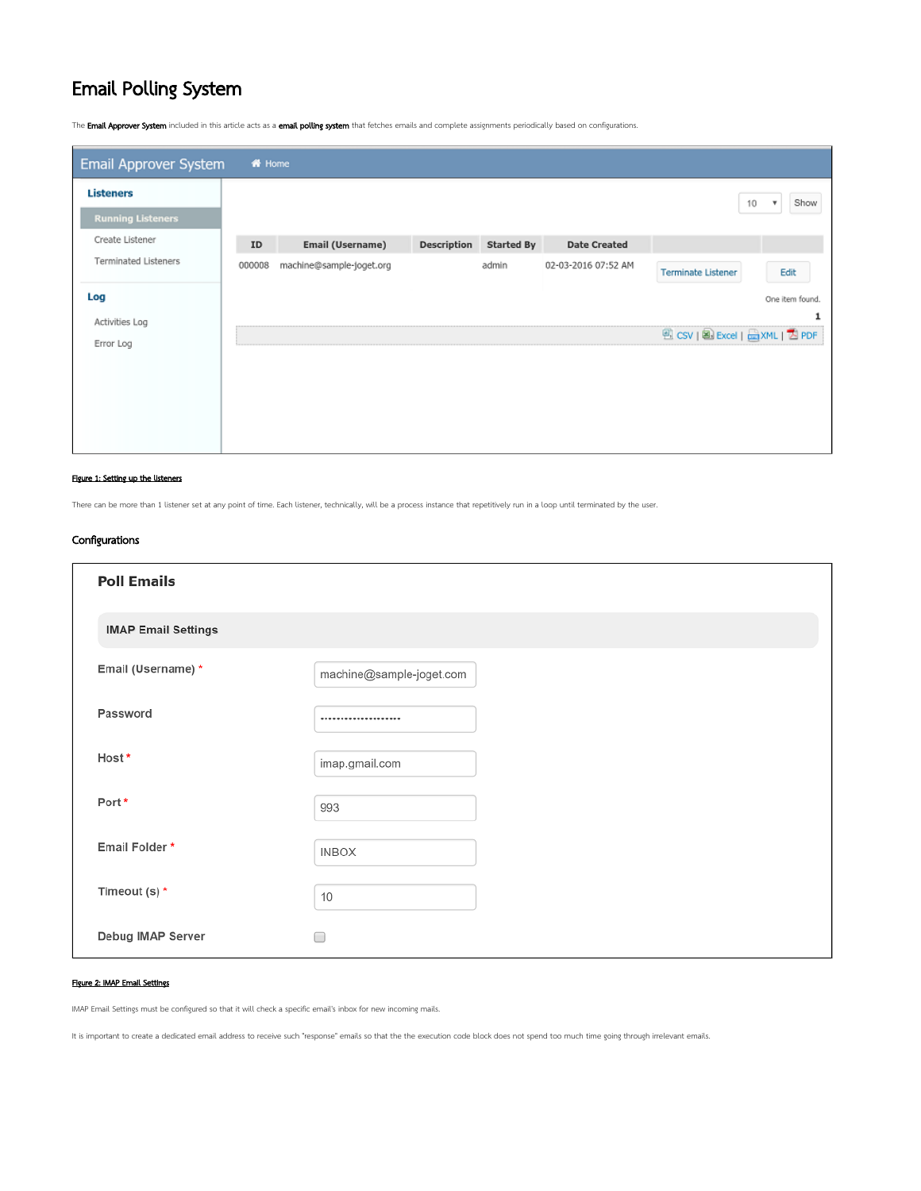# Email Polling System

| The Email Approver System included in this article acts as a email polling system that fetches emails and complete assignments periodically based on configurations. |  |
|----------------------------------------------------------------------------------------------------------------------------------------------------------------------|--|
|----------------------------------------------------------------------------------------------------------------------------------------------------------------------|--|

| Email Approver System       | <b>W</b> Home |                          |             |                   |                     |                                |                                         |
|-----------------------------|---------------|--------------------------|-------------|-------------------|---------------------|--------------------------------|-----------------------------------------|
| <b>Listeners</b>            |               |                          |             |                   |                     |                                | Show<br>10<br>$\boldsymbol{\mathrm{v}}$ |
| <b>Running Listeners</b>    |               |                          |             |                   |                     |                                |                                         |
| Create Listener             | ID            | <b>Email (Username)</b>  | Description | <b>Started By</b> | <b>Date Created</b> |                                |                                         |
| Terminated Listeners        | 000008        | machine@sample-joget.org |             | admin             | 02-03-2016 07:52 AM | <b>Terminate Listener</b>      | Edit                                    |
| Log                         |               |                          |             |                   |                     |                                | One item found.                         |
| Activities Log<br>Error Log |               |                          |             |                   |                     | 图 CSV   图 Excel   画XML   区 PDF |                                         |
|                             |               |                          |             |                   |                     |                                |                                         |
|                             |               |                          |             |                   |                     |                                |                                         |

#### Figure 1: Setting up the listeners

There can be more than 1 listener set at any point of time. Each listener, technically, will be a process instance that repetitively run in a loop until terminated by the user.

## **Configurations**

| <b>Poll Emails</b>         |                          |
|----------------------------|--------------------------|
| <b>IMAP Email Settings</b> |                          |
| Email (Username) *         | machine@sample-joget.com |
| Password                   | ********************     |
| Host*                      | imap.gmail.com           |
| Port*                      | 993                      |
| Email Folder*              | <b>INBOX</b>             |
| Timeout (s) *              | 10                       |
| Debug IMAP Server          |                          |

## Figure 2: IMAP Email Settings

IMAP Email Settings must be configured so that it will check a specific email's inbox for new incoming mails.

It is important to create a dedicated email address to receive such "response" emails so that the the execution code block does not spend too much time going through irrelevant emails.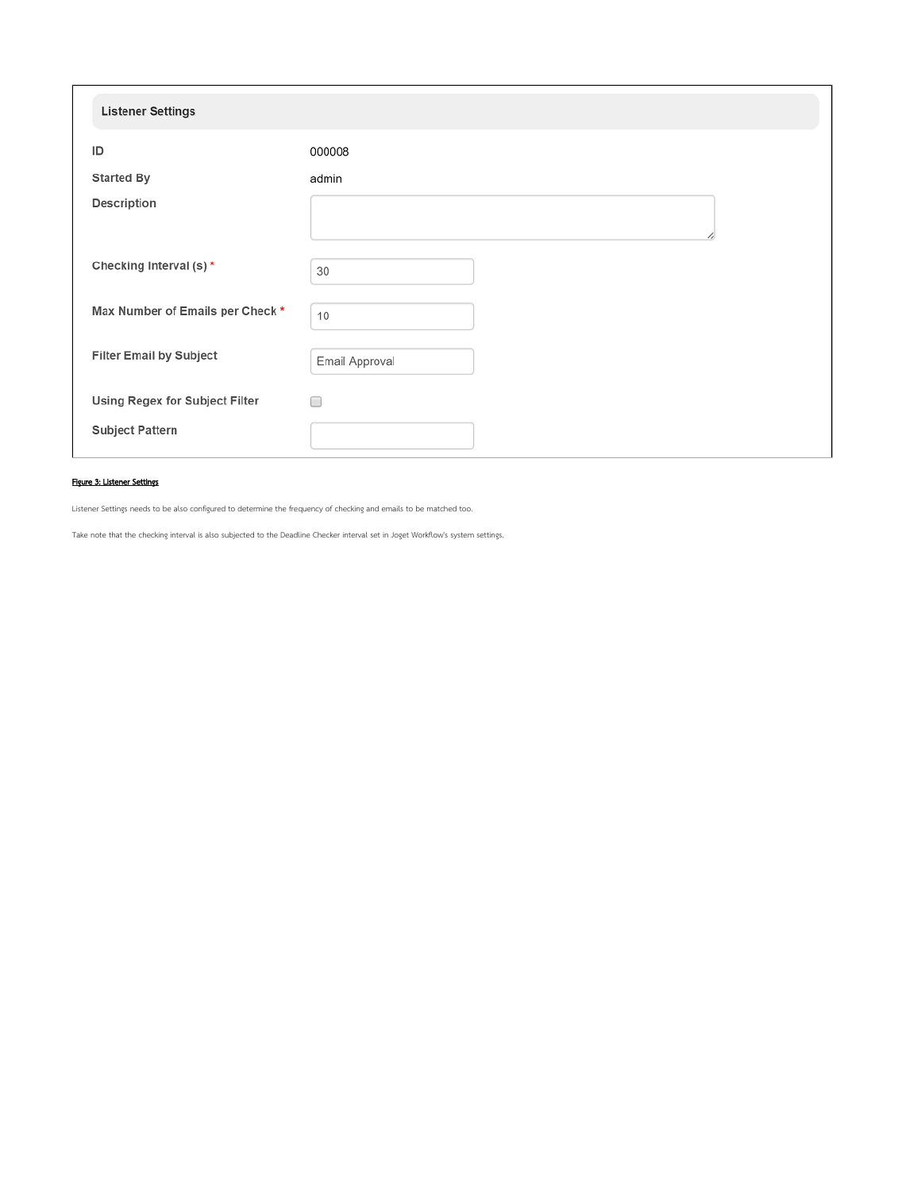| <b>Listener Settings</b>         |                |
|----------------------------------|----------------|
| ID                               | 000008         |
| <b>Started By</b>                | admin          |
| Description                      |                |
| Checking Interval (s) *          | 30             |
| Max Number of Emails per Check * | 10             |
| Filter Email by Subject          | Email Approval |
| Using Regex for Subject Filter   | ∩              |
| <b>Subject Pattern</b>           |                |

## Figure 3: Listener Settings

Listener Settings needs to be also configured to determine the frequency of checking and emails to be matched too.

Take note that the checking interval is also subjected to the Deadline Checker interval set in Joget Workflow's system settings.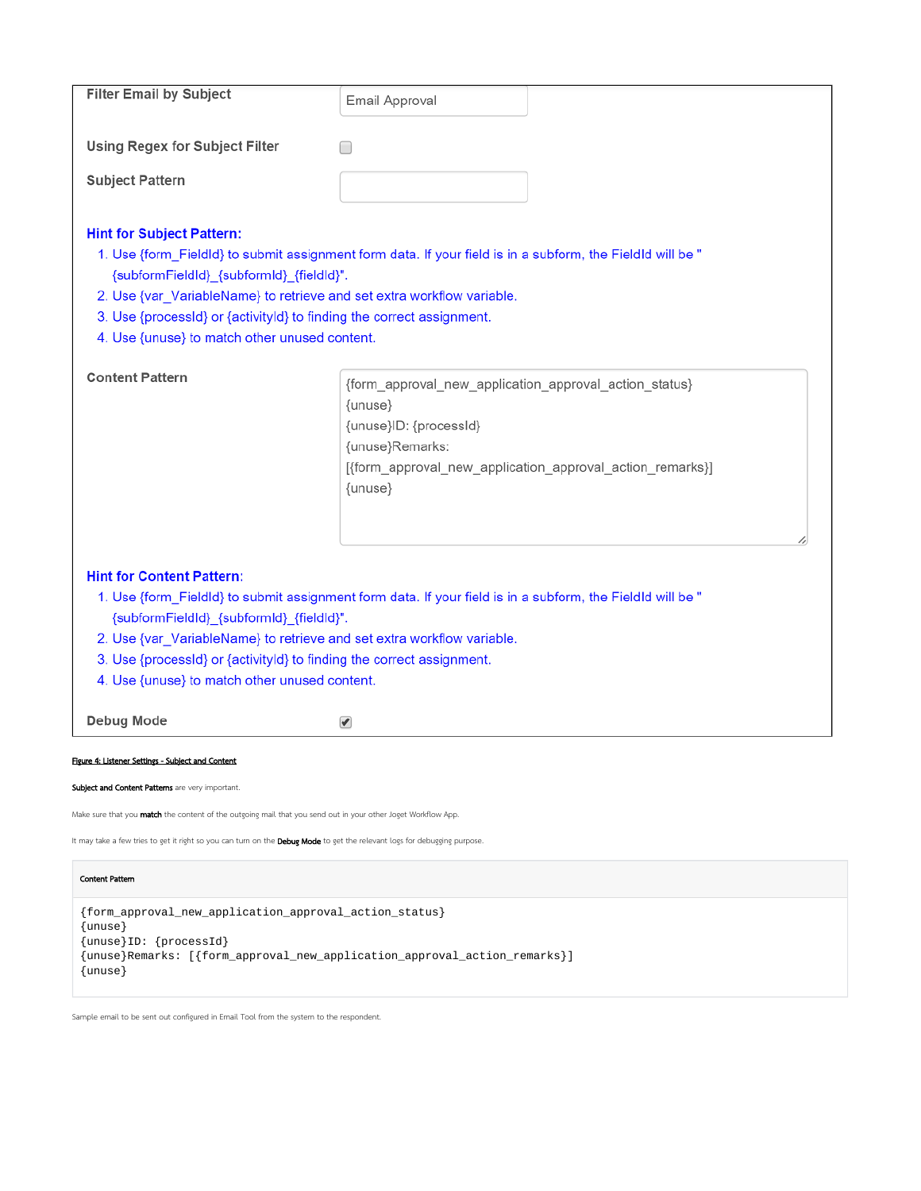| <b>Filter Email by Subject</b>                                                                                         | Email Approval                                                                                             |  |  |  |
|------------------------------------------------------------------------------------------------------------------------|------------------------------------------------------------------------------------------------------------|--|--|--|
|                                                                                                                        |                                                                                                            |  |  |  |
| <b>Using Regex for Subject Filter</b>                                                                                  |                                                                                                            |  |  |  |
| <b>Subject Pattern</b>                                                                                                 |                                                                                                            |  |  |  |
|                                                                                                                        |                                                                                                            |  |  |  |
| <b>Hint for Subject Pattern:</b>                                                                                       |                                                                                                            |  |  |  |
|                                                                                                                        | 1. Use {form_FieldId} to submit assignment form data. If your field is in a subform, the FieldId will be " |  |  |  |
| {subformFieldId}_{subformId}_{fieldId}".                                                                               |                                                                                                            |  |  |  |
| 2. Use {var_VariableName} to retrieve and set extra workflow variable.                                                 |                                                                                                            |  |  |  |
| 3. Use {processId} or {activityId} to finding the correct assignment.                                                  |                                                                                                            |  |  |  |
| 4. Use {unuse} to match other unused content.                                                                          |                                                                                                            |  |  |  |
| <b>Content Pattern</b>                                                                                                 |                                                                                                            |  |  |  |
| {form_approval_new_application_approval_action_status}                                                                 |                                                                                                            |  |  |  |
|                                                                                                                        | {unuse}<br>{unuse}ID: {processId}                                                                          |  |  |  |
|                                                                                                                        | {unuse}Remarks:                                                                                            |  |  |  |
|                                                                                                                        | [{form_approval_new_application_approval_action_remarks}]                                                  |  |  |  |
|                                                                                                                        | ${$ unuse $}$                                                                                              |  |  |  |
|                                                                                                                        |                                                                                                            |  |  |  |
|                                                                                                                        |                                                                                                            |  |  |  |
|                                                                                                                        |                                                                                                            |  |  |  |
| <b>Hint for Content Pattern:</b>                                                                                       |                                                                                                            |  |  |  |
|                                                                                                                        | 1. Use {form_FieldId} to submit assignment form data. If your field is in a subform, the FieldId will be " |  |  |  |
| {subformFieldId}_{subformId}_{fieldId}".                                                                               |                                                                                                            |  |  |  |
| 2. Use {var_VariableName} to retrieve and set extra workflow variable.                                                 |                                                                                                            |  |  |  |
| 3. Use {processId} or {activityId} to finding the correct assignment.<br>4. Use {unuse} to match other unused content. |                                                                                                            |  |  |  |
|                                                                                                                        |                                                                                                            |  |  |  |
| Debug Mode                                                                                                             | ✔                                                                                                          |  |  |  |
| Figure 4: Listener Settings - Subject and Content                                                                      |                                                                                                            |  |  |  |
| Subject and Content Patterns are very important.                                                                       |                                                                                                            |  |  |  |
| Make sure that you <b>match</b> the content of the outgoing mail that you send out in your other Joget Workflow App.   |                                                                                                            |  |  |  |
|                                                                                                                        |                                                                                                            |  |  |  |

It may take a few tries to get it right so you can turn on the **Debug Mode** to get the relevant logs for debugging purpose.

## Content Pattern

```
{form_approval_new_application_approval_action_status}
{unuse}
{unuse}ID: {processId}
{unuse}Remarks: [{form_approval_new_application_approval_action_remarks}]
{unuse}
```
Sample email to be sent out configured in Email Tool from the system to the respondent.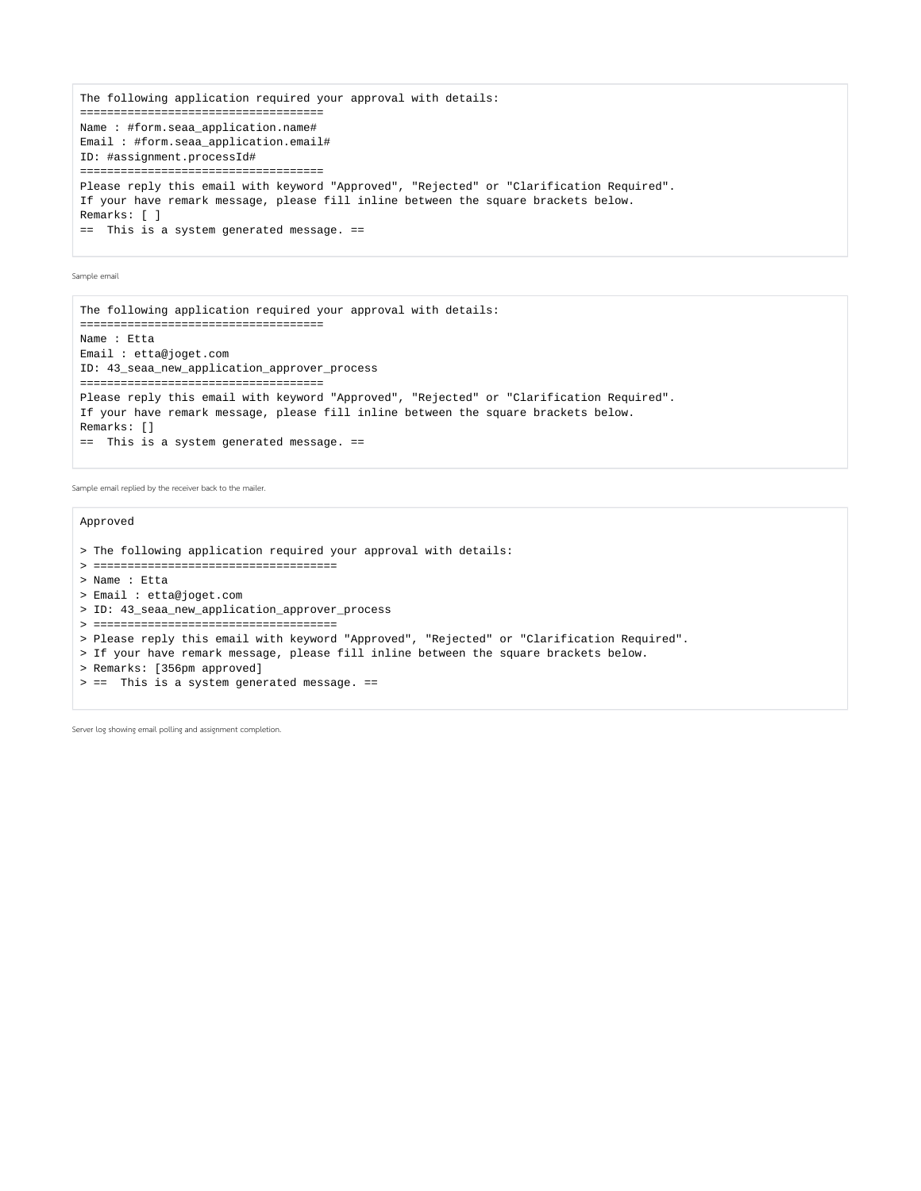```
The following application required your approval with details:
====================================
Name : #form.seaa application.name#
Email : #form.seaa_application.email#
ID: #assignment.processId#
====================================
Please reply this email with keyword "Approved", "Rejected" or "Clarification Required". 
If your have remark message, please fill inline between the square brackets below.
Remarks: [ ]
== This is a system generated message. ==
```
Sample email

```
The following application required your approval with details:
====================================
Name : Etta
Email : etta@joget.com
ID: 43_seaa_new_application_approver_process
====================================
Please reply this email with keyword "Approved", "Rejected" or "Clarification Required".
If your have remark message, please fill inline between the square brackets below.
Remarks: []
== This is a system generated message. ==
```
Sample email replied by the receiver back to the mailer.

Approved

```
> The following application required your approval with details:
> ====================================
> Name : Etta
> Email : etta@joget.com
> ID: 43_seaa_new_application_approver_process
> ====================================
> Please reply this email with keyword "Approved", "Rejected" or "Clarification Required".
> If your have remark message, please fill inline between the square brackets below.
> Remarks: [356pm approved]
> == This is a system generated message. ==
```
Server log showing email polling and assignment completion.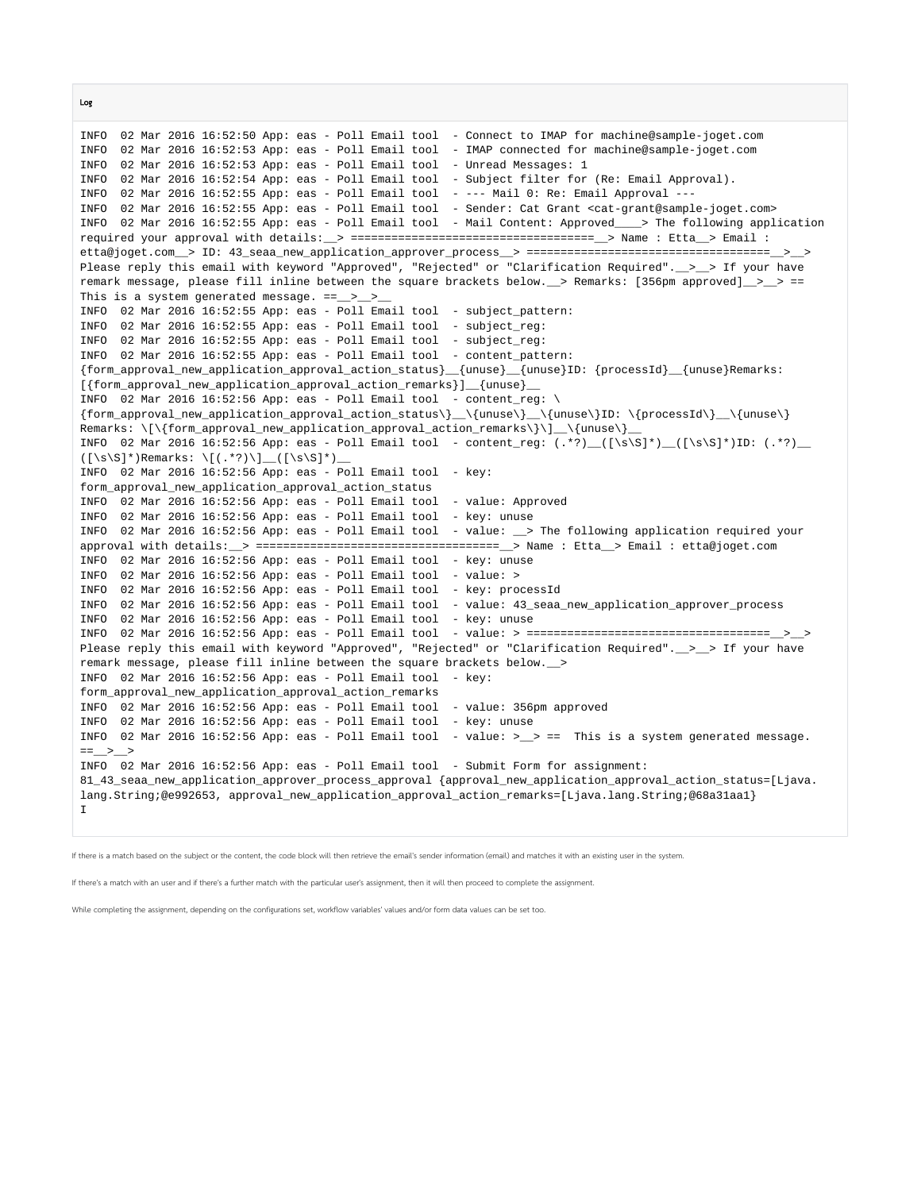Log

```
INFO 02 Mar 2016 16:52:50 App: eas - Poll Email tool - Connect to IMAP for machine@sample-joget.com
INFO 02 Mar 2016 16:52:53 App: eas - Poll Email tool - IMAP connected for machine@sample-joget.com
INFO 02 Mar 2016 16:52:53 App: eas - Poll Email tool - Unread Messages: 1
INFO 02 Mar 2016 16:52:54 App: eas - Poll Email tool - Subject filter for (Re: Email Approval).
INFO 02 Mar 2016 16:52:55 App: eas - Poll Email tool - --- Mail 0: Re: Email Approval ---
INFO 02 Mar 2016 16:52:55 App: eas - Poll Email tool - Sender: Cat Grant <cat-grant@sample-joget.com>
INFO 02 Mar 2016 16:52:55 App: eas - Poll Email tool - Mail Content: Approved____> The following application 
required your approval with details:__> ====================================__> Name : Etta__> Email : 
etta@joget.com__> ID: 43_seaa_new_application_approver_process__> ====================================__>__> 
Please reply this email with keyword "Approved", "Rejected" or "Clarification Required".__>__> If your have
remark message, please fill inline between the square brackets below.__> Remarks: [356pm approved]__>__> == 
This is a system generated message. == \geq \geqINFO 02 Mar 2016 16:52:55 App: eas - Poll Email tool - subject_pattern:
INFO 02 Mar 2016 16:52:55 App: eas - Poll Email tool - subject_reg:
INFO 02 Mar 2016 16:52:55 App: eas - Poll Email tool - subject_reg:
INFO 02 Mar 2016 16:52:55 App: eas - Poll Email tool - content_pattern: 
{form_approval_new_application_approval_action_status}_{unuse}{unuse}ID: {processId}_{unuse}Remarks:
[{form_approval_new_application_approval_action_remarks}]__{unuse}__
INFO 02 Mar 2016 16:52:56 App: eas - Poll Email tool - content_reg: \
{form\_approx1\_new\_application\_approx1\_actions\_status}\_\{unuse\}/\ID: \ {\processd}\_\_\\{unuse\}Remarks: \[\{form_approval_new_application_approval_action_remarks\}\]__\{unuse\}__
INFO 02 Mar 2016 16:52:56 App: eas - Poll Email tool - content_reg: (.*?)__([\s\S]*)__([\s\S]*)ID: (.*?)__
(|\s\s'|\cdot)Remarks: |(\cdot,\s'\s'|\cdot)] (|\s'\s'|\cdotINFO 02 Mar 2016 16:52:56 App: eas - Poll Email tool - key: 
form_approval_new_application_approval_action_status
INFO 02 Mar 2016 16:52:56 App: eas - Poll Email tool - value: Approved
INFO 02 Mar 2016 16:52:56 App: eas - Poll Email tool - key: unuse
INFO 02 Mar 2016 16:52:56 App: eas - Poll Email tool - value: __> The following application required your 
approval with details:__> ====================================__> Name : Etta__> Email : etta@joget.com
INFO 02 Mar 2016 16:52:56 App: eas - Poll Email tool - key: unuse
INFO 02 Mar 2016 16:52:56 App: eas - Poll Email tool - value: >
INFO 02 Mar 2016 16:52:56 App: eas - Poll Email tool - key: processId
INFO 02 Mar 2016 16:52:56 App: eas - Poll Email tool - value: 43_seaa_new_application_approver_process
INFO 02 Mar 2016 16:52:56 App: eas - Poll Email tool - key: unuse
INFO 02 Mar 2016 16:52:56 App: eas - Poll Email tool - value: > ====================================__>__> 
Please reply this email with keyword "Approved", "Rejected" or "Clarification Required".__>__> If your have
remark message, please fill inline between the square brackets below.__>
INFO 02 Mar 2016 16:52:56 App: eas - Poll Email tool - key: 
form_approval_new_application_approval_action_remarks
INFO 02 Mar 2016 16:52:56 App: eas - Poll Email tool - value: 356pm approved
INFO 02 Mar 2016 16:52:56 App: eas - Poll Email tool - key: unuse
INFO 02 Mar 2016 16:52:56 App: eas - Poll Email tool - value: >__> == This is a system generated message. 
= \rightarrow \rightarrowINFO 02 Mar 2016 16:52:56 App: eas - Poll Email tool - Submit Form for assignment: 
81_43_seaa_new_application_approver_process_approval {approval_new_application_approval_action_status=[Ljava.
lang.String;@e992653, approval_new_application_approval_action_remarks=[Ljava.lang.String;@68a31aa1}
I
```
If there is a match based on the subject or the content, the code block will then retrieve the email's sender information (email) and matches it with an existing user in the system.

If there's a match with an user and if there's a further match with the particular user's assignment, then it will then proceed to complete the assignment.

While completing the assignment, depending on the configurations set, workflow variables' values and/or form data values can be set too.